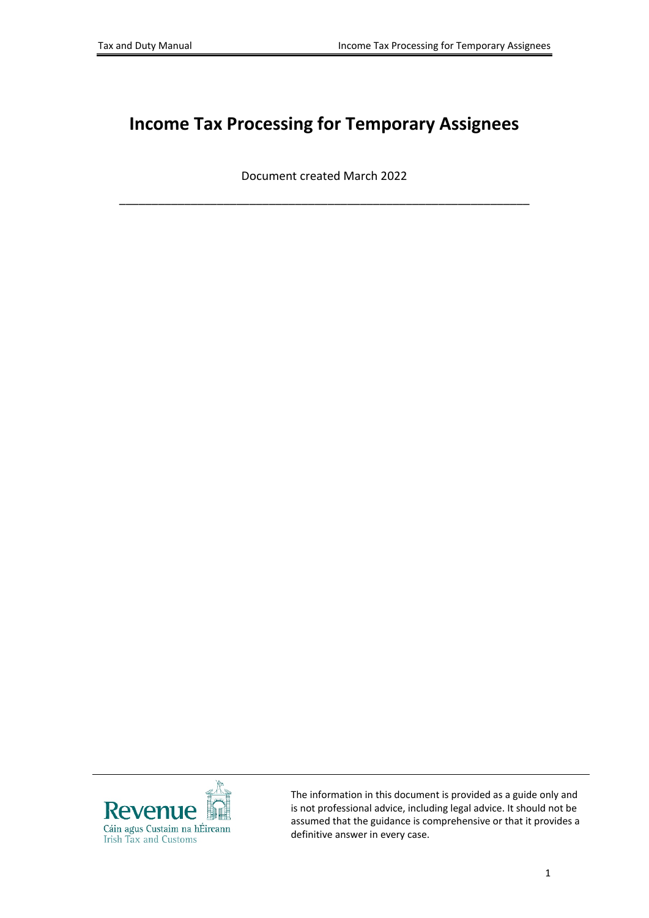# **Income Tax Processing for Temporary Assignees**

Document created March 2022

\_\_\_\_\_\_\_\_\_\_\_\_\_\_\_\_\_\_\_\_\_\_\_\_\_\_\_\_\_\_\_\_\_\_\_\_\_\_\_\_\_\_\_\_\_\_\_\_\_\_\_\_\_\_\_\_\_\_\_\_\_\_\_



The information in this document is provided as a guide only and is not professional advice, including legal advice. It should not be assumed that the guidance is comprehensive or that it provides a definitive answer in every case.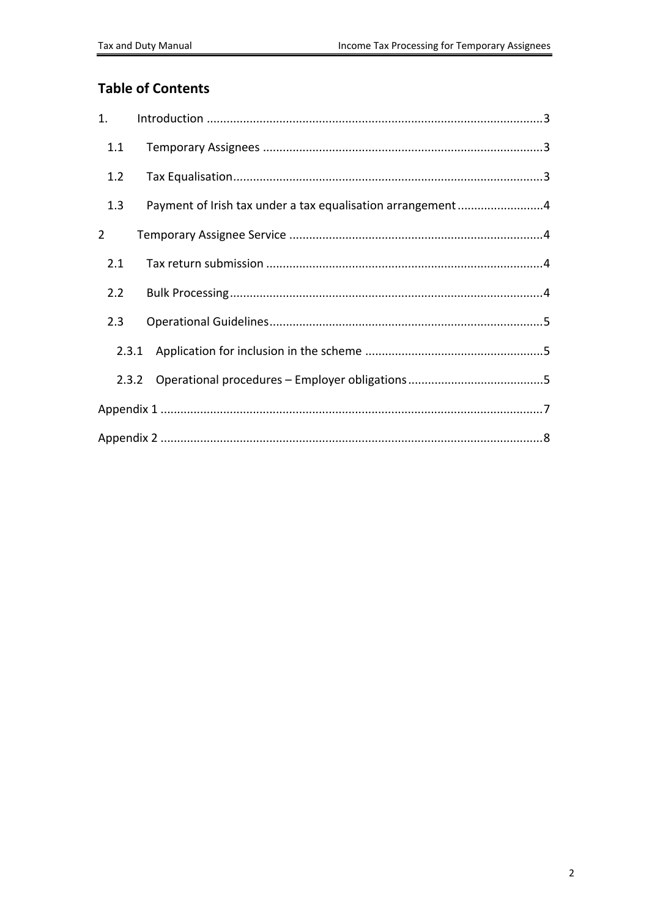#### **Table of Contents**

| 1.             |                                                            |
|----------------|------------------------------------------------------------|
| 1.1            |                                                            |
| 1.2            |                                                            |
| 1.3            | Payment of Irish tax under a tax equalisation arrangement4 |
| $\overline{2}$ |                                                            |
| 2.1            |                                                            |
| 2.2            |                                                            |
| 2.3            |                                                            |
| 2.3.1          |                                                            |
|                | 2.3.2                                                      |
|                |                                                            |
|                |                                                            |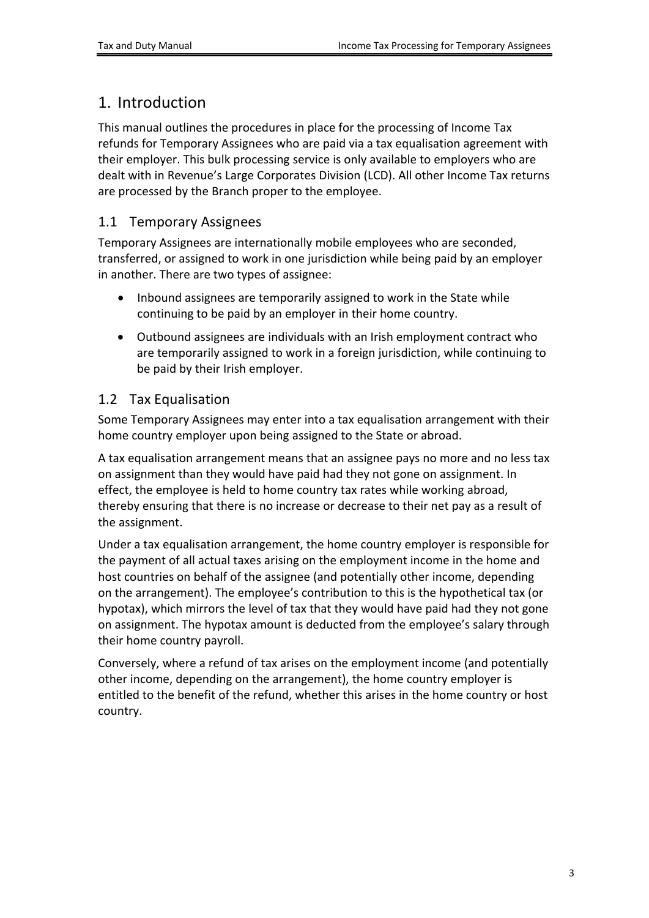## <span id="page-2-0"></span>1. Introduction

This manual outlines the procedures in place for the processing of Income Tax refunds for Temporary Assignees who are paid via a tax equalisation agreement with their employer. This bulk processing service is only available to employers who are dealt with in Revenue's Large Corporates Division (LCD). All other Income Tax returns are processed by the Branch proper to the employee.

### <span id="page-2-1"></span>1.1 Temporary Assignees

Temporary Assignees are internationally mobile employees who are seconded, transferred, or assigned to work in one jurisdiction while being paid by an employer in another. There are two types of assignee:

- Inbound assignees are temporarily assigned to work in the State while continuing to be paid by an employer in their home country.
- Outbound assignees are individuals with an Irish employment contract who are temporarily assigned to work in a foreign jurisdiction, while continuing to be paid by their Irish employer.

### <span id="page-2-2"></span>1.2 Tax Equalisation

Some Temporary Assignees may enter into a tax equalisation arrangement with their home country employer upon being assigned to the State or abroad.

A tax equalisation arrangement means that an assignee pays no more and no less tax on assignment than they would have paid had they not gone on assignment. In effect, the employee is held to home country tax rates while working abroad, thereby ensuring that there is no increase or decrease to their net pay as a result of the assignment.

Under a tax equalisation arrangement, the home country employer is responsible for the payment of all actual taxes arising on the employment income in the home and host countries on behalf of the assignee (and potentially other income, depending on the arrangement). The employee's contribution to this is the hypothetical tax (or hypotax), which mirrors the level of tax that they would have paid had they not gone on assignment. The hypotax amount is deducted from the employee's salary through their home country payroll.

Conversely, where a refund of tax arises on the employment income (and potentially other income, depending on the arrangement), the home country employer is entitled to the benefit of the refund, whether this arises in the home country or host country.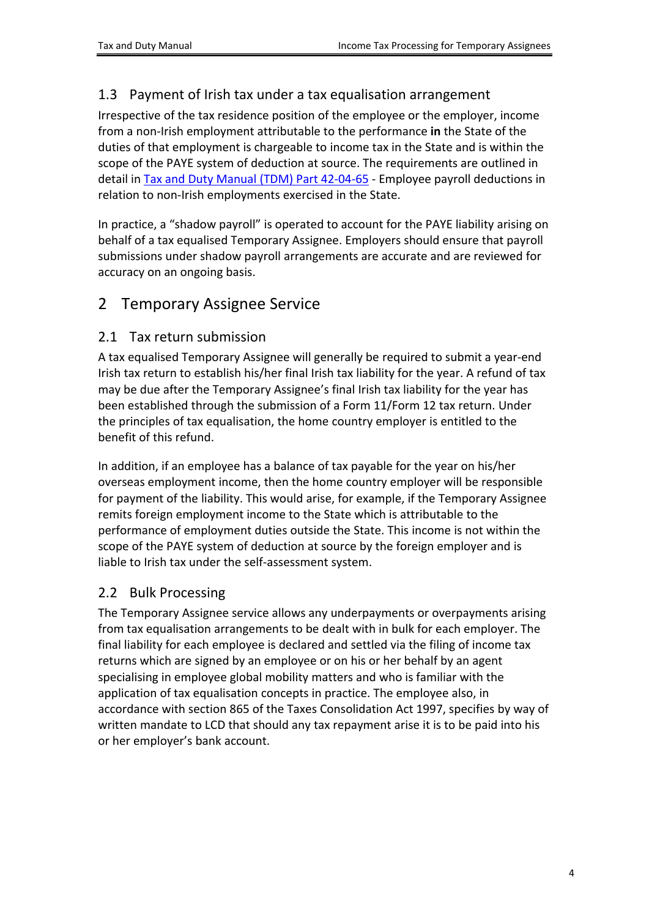#### <span id="page-3-0"></span>1.3 Payment of Irish tax under a tax equalisation arrangement

Irrespective of the tax residence position of the employee or the employer, income from a non-Irish employment attributable to the performance **in** the State of the duties of that employment is chargeable to income tax in the State and is within the scope of the PAYE system of deduction at source. The requirements are outlined in detail in [Tax](https://www.revenue.ie/en/tax-professionals/tdm/income-tax-capital-gains-tax-corporation-tax/part-42/42-04-65.pdf) [and](https://www.revenue.ie/en/tax-professionals/tdm/income-tax-capital-gains-tax-corporation-tax/part-42/42-04-65.pdf) [Duty](https://www.revenue.ie/en/tax-professionals/tdm/income-tax-capital-gains-tax-corporation-tax/part-42/42-04-65.pdf) [Manual](https://www.revenue.ie/en/tax-professionals/tdm/income-tax-capital-gains-tax-corporation-tax/part-42/42-04-65.pdf) [\(TDM\)](https://www.revenue.ie/en/tax-professionals/tdm/income-tax-capital-gains-tax-corporation-tax/part-42/42-04-65.pdf) [Part](https://www.revenue.ie/en/tax-professionals/tdm/income-tax-capital-gains-tax-corporation-tax/part-42/42-04-65.pdf) [42-04-65](https://www.revenue.ie/en/tax-professionals/tdm/income-tax-capital-gains-tax-corporation-tax/part-42/42-04-65.pdf) - Employee payroll deductions in relation to non-Irish employments exercised in the State.

In practice, a "shadow payroll" is operated to account for the PAYE liability arising on behalf of a tax equalised Temporary Assignee. Employers should ensure that payroll submissions under shadow payroll arrangements are accurate and are reviewed for accuracy on an ongoing basis.

### <span id="page-3-1"></span>2 Temporary Assignee Service

#### <span id="page-3-2"></span>2.1 Tax return submission

A tax equalised Temporary Assignee will generally be required to submit a year-end Irish tax return to establish his/her final Irish tax liability for the year. A refund of tax may be due after the Temporary Assignee's final Irish tax liability for the year has been established through the submission of a Form 11/Form 12 tax return. Under the principles of tax equalisation, the home country employer is entitled to the benefit of this refund.

In addition, if an employee has a balance of tax payable for the year on his/her overseas employment income, then the home country employer will be responsible for payment of the liability. This would arise, for example, if the Temporary Assignee remits foreign employment income to the State which is attributable to the performance of employment duties outside the State. This income is not within the scope of the PAYE system of deduction at source by the foreign employer and is liable to Irish tax under the self-assessment system.

#### <span id="page-3-3"></span>2.2 Bulk Processing

The Temporary Assignee service allows any underpayments or overpayments arising from tax equalisation arrangements to be dealt with in bulk for each employer. The final liability for each employee is declared and settled via the filing of income tax returns which are signed by an employee or on his or her behalf by an agent specialising in employee global mobility matters and who is familiar with the application of tax equalisation concepts in practice. The employee also, in accordance with section 865 of the Taxes Consolidation Act 1997, specifies by way of written mandate to LCD that should any tax repayment arise it is to be paid into his or her employer's bank account.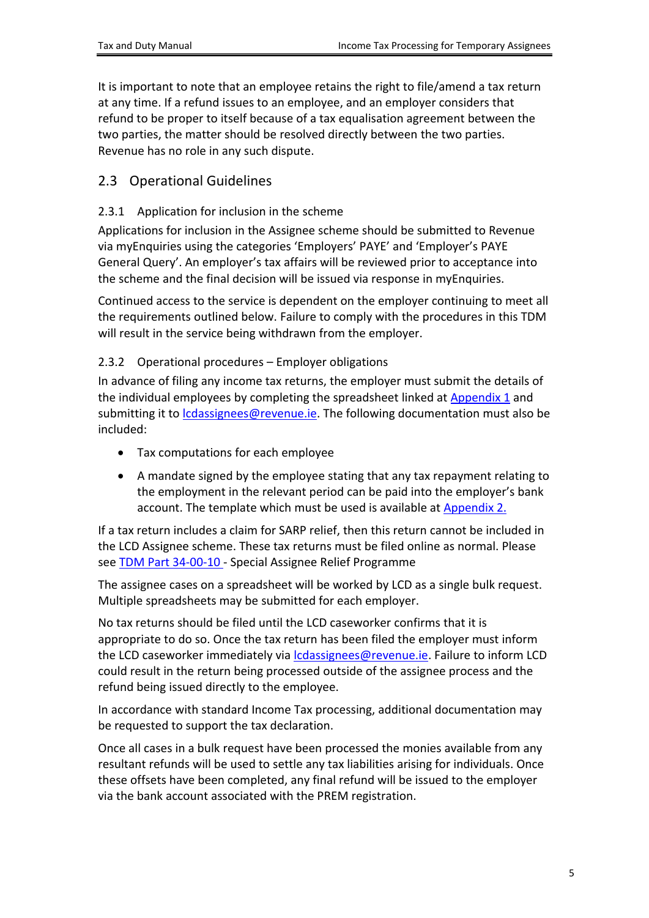It is important to note that an employee retains the right to file/amend a tax return at any time. If a refund issues to an employee, and an employer considers that refund to be proper to itself because of a tax equalisation agreement between the two parties, the matter should be resolved directly between the two parties. Revenue has no role in any such dispute.

#### <span id="page-4-0"></span>2.3 Operational Guidelines

#### <span id="page-4-1"></span>2.3.1 Application for inclusion in the scheme

Applications for inclusion in the Assignee scheme should be submitted to Revenue via myEnquiries using the categories 'Employers' PAYE' and 'Employer's PAYE General Query'. An employer's tax affairs will be reviewed prior to acceptance into the scheme and the final decision will be issued via response in myEnquiries.

Continued access to the service is dependent on the employer continuing to meet all the requirements outlined below. Failure to comply with the procedures in this TDM will result in the service being withdrawn from the employer.

#### <span id="page-4-2"></span>2.3.2 Operational procedures – Employer obligations

In advance of filing any income tax returns, the employer must submit the details of the individual employees by completing the spreadsheet linked at [Appendix](#page-6-0) [1](#page-6-0) and submitting it to *cdassignees@revenue.ie*. The following documentation must also be included:

- Tax computations for each employee
- A mandate signed by the employee stating that any tax repayment relating to the employment in the relevant period can be paid into the employer's bank account. The template which must be used is available at [Appendix](#page-7-0) [2.](#page-7-0)

If a tax return includes a claim for SARP relief, then this return cannot be included in the LCD Assignee scheme. These tax returns must be filed online as normal. Please see [TDM](https://www.revenue.ie/en/tax-professionals/tdm/income-tax-capital-gains-tax-corporation-tax/part-34/34-00-10.pdf) [Part](https://www.revenue.ie/en/tax-professionals/tdm/income-tax-capital-gains-tax-corporation-tax/part-34/34-00-10.pdf) [34-00-10](https://www.revenue.ie/en/tax-professionals/tdm/income-tax-capital-gains-tax-corporation-tax/part-34/34-00-10.pdf) - Special Assignee Relief Programme

The assignee cases on a spreadsheet will be worked by LCD as a single bulk request. Multiple spreadsheets may be submitted for each employer.

No tax returns should be filed until the LCD caseworker confirms that it is appropriate to do so. Once the tax return has been filed the employer must inform the LCD caseworker immediately via [lcdassignees@revenue.ie.](mailto:lcdassignees@revenue.ie) Failure to inform LCD could result in the return being processed outside of the assignee process and the refund being issued directly to the employee.

In accordance with standard Income Tax processing, additional documentation may be requested to support the tax declaration.

Once all cases in a bulk request have been processed the monies available from any resultant refunds will be used to settle any tax liabilities arising for individuals. Once these offsets have been completed, any final refund will be issued to the employer via the bank account associated with the PREM registration.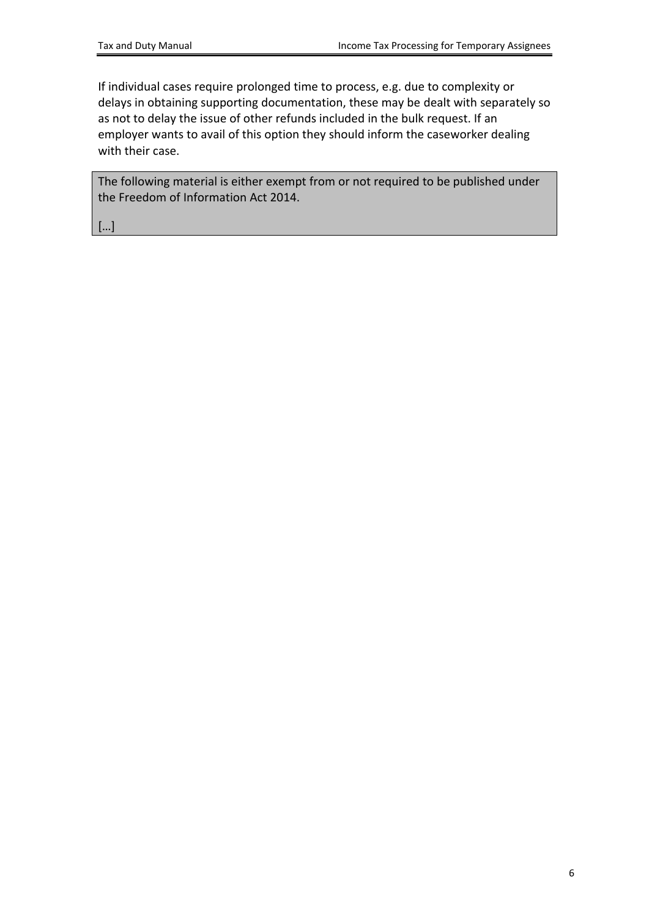If individual cases require prolonged time to process, e.g. due to complexity or delays in obtaining supporting documentation, these may be dealt with separately so as not to delay the issue of other refunds included in the bulk request. If an employer wants to avail of this option they should inform the caseworker dealing with their case.

The following material is either exempt from or not required to be published under the Freedom of Information Act 2014.

[…]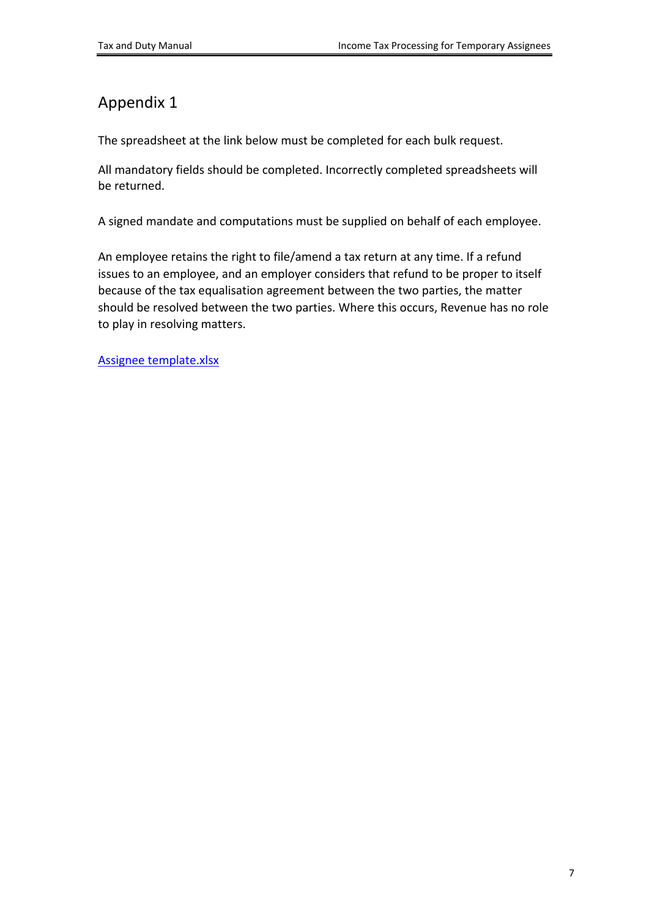## <span id="page-6-0"></span>Appendix 1

The spreadsheet at the link below must be completed for each bulk request.

All mandatory fields should be completed. Incorrectly completed spreadsheets will be returned.

A signed mandate and computations must be supplied on behalf of each employee.

An employee retains the right to file/amend a tax return at any time. If a refund issues to an employee, and an employer considers that refund to be proper to itself because of the tax equalisation agreement between the two parties, the matter should be resolved between the two parties. Where this occurs, Revenue has no role to play in resolving matters.

[Assignee](https://www.revenue.ie/en/gains-gifts-and-inheritance/documents/income-tax-returns-for-temporary-assignees.xlsx) [template.xlsx](https://www.revenue.ie/en/gains-gifts-and-inheritance/documents/income-tax-returns-for-temporary-assignees.xlsx)